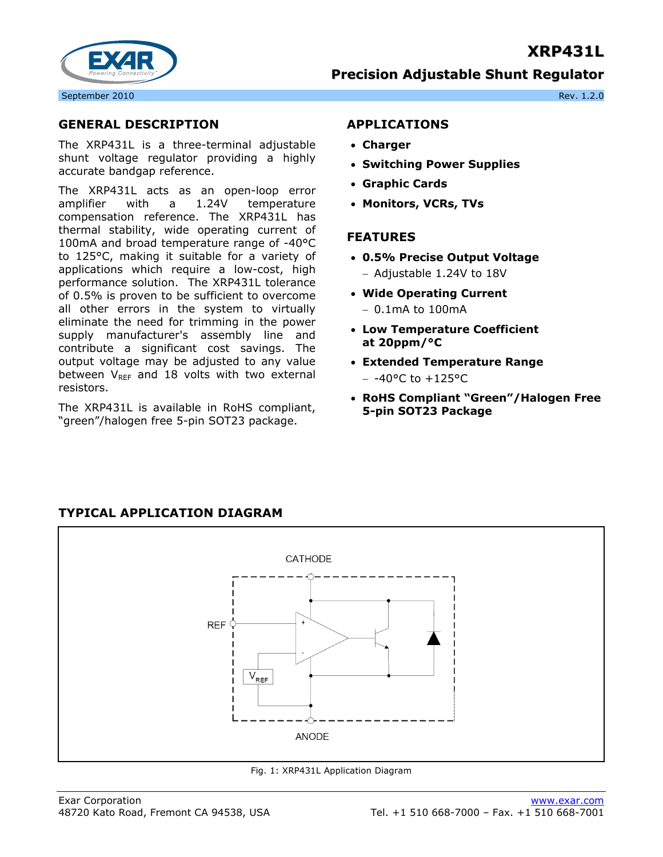## **XRP431L**



**Precision Adjustable Shunt Regulator**

#### **GENERAL DESCRIPTION**

The XRP431L is a three-terminal adjustable shunt voltage regulator providing a highly accurate bandgap reference.

The XRP431L acts as an open-loop error amplifier with a 1.24V temperature compensation reference. The XRP431L has thermal stability, wide operating current of 100mA and broad temperature range of -40°C to 125°C, making it suitable for a variety of applications which require a low-cost, high performance solution. The XRP431L tolerance of 0.5% is proven to be sufficient to overcome all other errors in the system to virtually eliminate the need for trimming in the power supply manufacturer's assembly line and contribute a significant cost savings. The output voltage may be adjusted to any value between  $V_{REF}$  and 18 volts with two external resistors.

The XRP431L is available in RoHS compliant, "green"/halogen free 5-pin SOT23 package.

**TYPICAL APPLICATION DIAGRAM** 

#### **APPLICATIONS**

- **Charger**
- **Switching Power Supplies**
- **Graphic Cards**
- **Monitors, VCRs, TVs**

#### **FEATURES**

- **0.5% Precise Output Voltage** 
	- − Adjustable 1.24V to 18V
- **Wide Operating Current**  − 0.1mA to 100mA
- **Low Temperature Coefficient at 20ppm/°C**
- **Extended Temperature Range**  − -40°C to +125°C
- **RoHS Compliant "Green"/Halogen Free 5-pin SOT23 Package**

# CATHODE **REF**  $V_{REF}$ **ANODE**

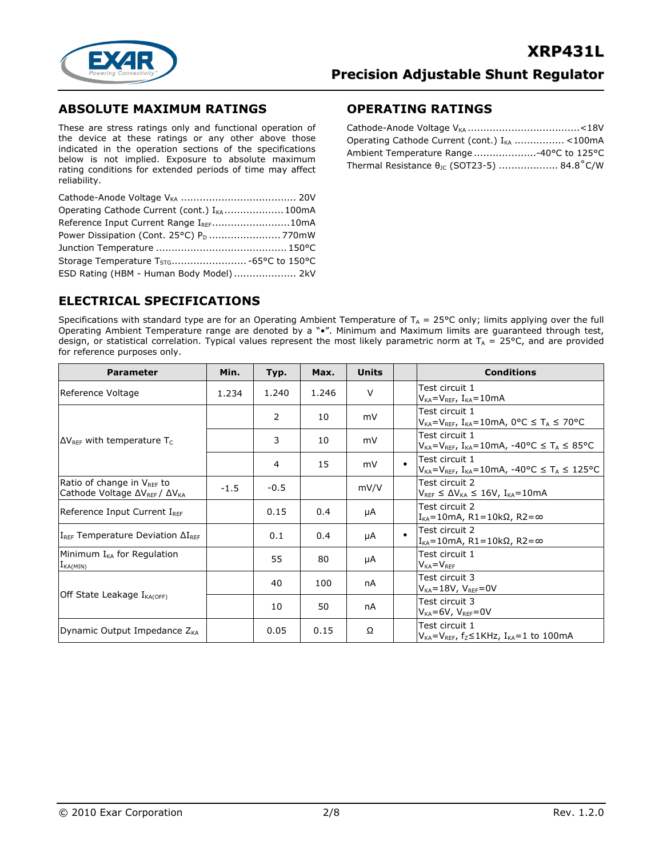

#### **ABSOLUTE MAXIMUM RATINGS**

These are stress ratings only and functional operation of the device at these ratings or any other above those indicated in the operation sections of the specifications below is not implied. Exposure to absolute maximum rating conditions for extended periods of time may affect reliability.

| Operating Cathode Current (cont.) I <sub>KA</sub> 100mA |  |
|---------------------------------------------------------|--|
| Reference Input Current Range I <sub>RFF</sub> 10mA     |  |
| Power Dissipation (Cont. 25°C) P <sub>D</sub> 770mW     |  |
|                                                         |  |
|                                                         |  |
| ESD Rating (HBM - Human Body Model) 2kV                 |  |

#### **OPERATING RATINGS**

| Operating Cathode Current (cont.) I <sub>KA</sub> <100mA |  |
|----------------------------------------------------------|--|
| Ambient Temperature Range40°C to 125°C                   |  |
| Thermal Resistance θ <sub>Jc</sub> (SOT23-5)  84.8°C/W   |  |

## **ELECTRICAL SPECIFICATIONS**

Specifications with standard type are for an Operating Ambient Temperature of  $T_A = 25^{\circ}C$  only; limits applying over the full Operating Ambient Temperature range are denoted by a "•". Minimum and Maximum limits are guaranteed through test, design, or statistical correlation. Typical values represent the most likely parametric norm at T<sub>A</sub> = 25°C, and are provided for reference purposes only.

| <b>Parameter</b>                                                             | Min.   | Typ.           | Max.  | <b>Units</b> |           | <b>Conditions</b>                                                                              |
|------------------------------------------------------------------------------|--------|----------------|-------|--------------|-----------|------------------------------------------------------------------------------------------------|
| Reference Voltage                                                            | 1.234  | 1.240          | 1.246 | $\vee$       |           | Test circuit 1<br>$V_{KA} = V_{REF}$ , $I_{KA} = 10mA$                                         |
|                                                                              |        | $\overline{2}$ | 10    | mV           |           | Test circuit 1<br>$V_{KA} = V_{REF}$ , I <sub>KA</sub> =10mA, 0°C $\leq T_A \leq 70$ °C        |
| $\Delta V_{REF}$ with temperature T <sub>C</sub>                             |        | 3              | 10    | mV           |           | Test circuit 1<br>$V_{KA} = V_{REF}$ , $I_{KA} = 10mA$ , $-40°C \leq T_A \leq 85°C$            |
|                                                                              |        | 4              | 15    | mV           | $\bullet$ | Test circuit 1<br>$V_{KA} = V_{REF}$ , I <sub>KA</sub> =10mA, -40°C $\leq T_A \leq 125$ °C     |
| Ratio of change in VREF to<br>Cathode Voltage $\Delta V_{REF}/\Delta V_{KA}$ | $-1.5$ | $-0.5$         |       | mV/V         |           | Test circuit 2<br>$V_{REF} \leq \Delta V_{KA} \leq 16V$ , I <sub>KA</sub> =10mA                |
| Reference Input Current IRFF                                                 |        | 0.15           | 0.4   | μA           |           | Test circuit 2<br>$IKA=10$ mA, R1=10kΩ, R2=∞                                                   |
| $I_{REF}$ Temperature Deviation $\Delta I_{REF}$                             |        | 0.1            | 0.4   | μA           | $\bullet$ | Test circuit 2<br>$IKA=10$ mA, R1=10kΩ, R2=∞                                                   |
| Minimum $I_{KA}$ for Regulation<br>$I_{KA(MIN)}$                             |        | 55             | 80    | μA           |           | Test circuit 1<br>$V_{KA} = V_{RFF}$                                                           |
|                                                                              |        | 40             | 100   | nA           |           | Test circuit 3<br>$V_{KA} = 18V$ , $V_{REF} = 0V$                                              |
| Off State Leakage I <sub>KA(OFF)</sub>                                       |        | 10             | 50    | nA           |           | Test circuit 3<br>$V_{KA} = 6V$ , $V_{REF} = 0V$                                               |
| Dynamic Output Impedance $Z_{\text{KA}}$                                     |        | 0.05           | 0.15  | Ω            |           | Test circuit 1<br>$V_{KA} = V_{REF}$ , f <sub>z</sub> $\leq$ 1KHz, I <sub>KA</sub> =1 to 100mA |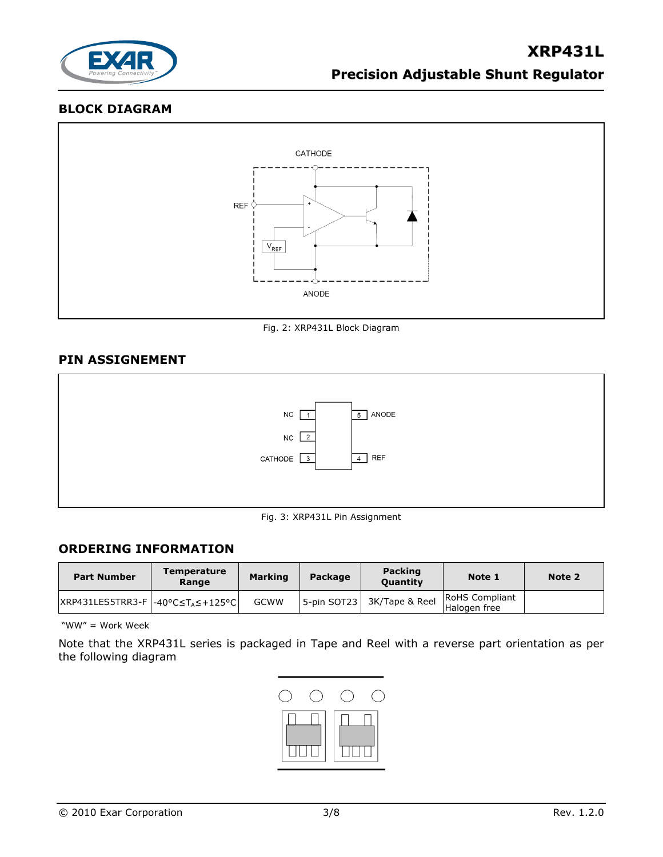

#### **BLOCK DIAGRAM**



Fig. 2: XRP431L Block Diagram

#### **PIN ASSIGNEMENT**



#### Fig. 3: XRP431L Pin Assignment

## **ORDERING INFORMATION**

| <b>Part Number</b>                                | <b>Temperature</b><br>Range | <b>Marking</b> | Package     | <b>Packing</b><br><b>Ouantity</b> | Note 1                                | Note 2 |
|---------------------------------------------------|-----------------------------|----------------|-------------|-----------------------------------|---------------------------------------|--------|
| $ XRP431LES5TRR3-F  - 40°C \leq T_A \leq +125°C $ |                             | <b>GCWW</b>    | 5-pin SOT23 | 3K/Tape & Reel                    | <b>RoHS</b> Compliant<br>Halogen free |        |

"WW" = Work Week

Note that the XRP431L series is packaged in Tape and Reel with a reverse part orientation as per the following diagram

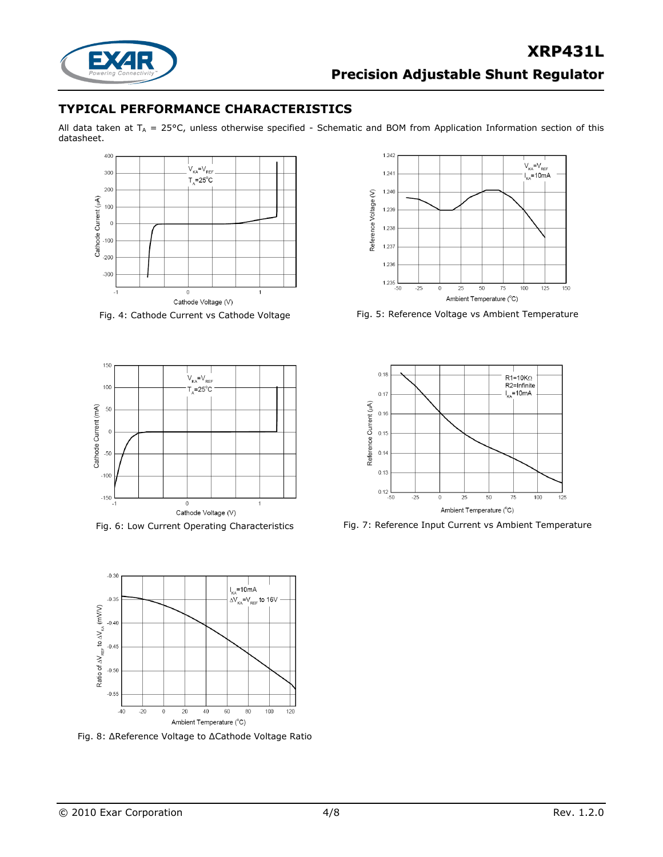

## **TYPICAL PERFORMANCE CHARACTERISTICS**

All data taken at  $T_A = 25$ °C, unless otherwise specified - Schematic and BOM from Application Information section of this datasheet.







Fig. 8: ΔReference Voltage to ΔCathode Voltage Ratio



Fig. 4: Cathode Current vs Cathode Voltage Fig. 5: Reference Voltage vs Ambient Temperature



Fig. 6: Low Current Operating Characteristics Fig. 7: Reference Input Current vs Ambient Temperature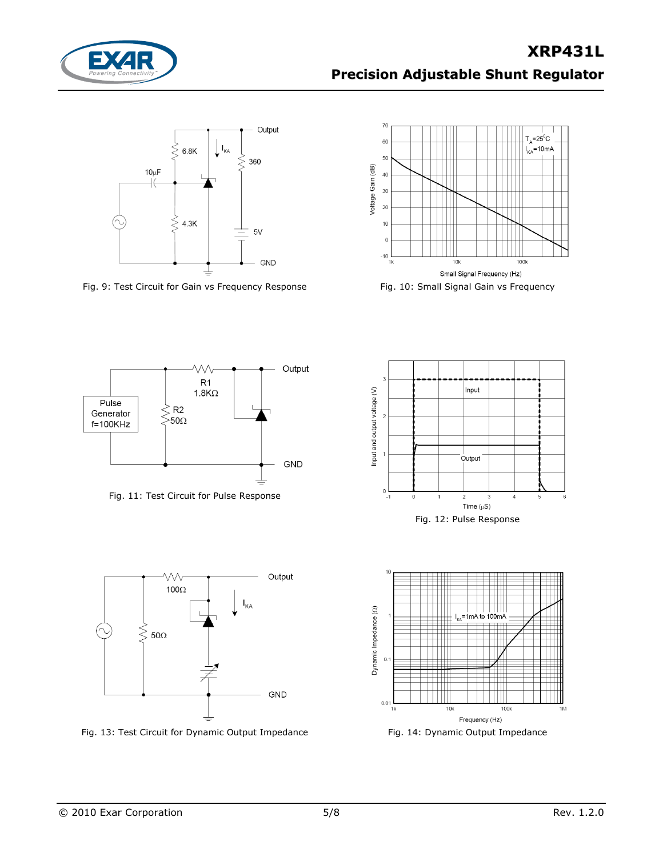



Fig. 9: Test Circuit for Gain vs Frequency Response Fig. 10: Small Signal Gain vs Frequency





Fig. 11: Test Circuit for Pulse Response



Fig. 13: Test Circuit for Dynamic Output Impedance Fig. 14: Dynamic Output Impedance





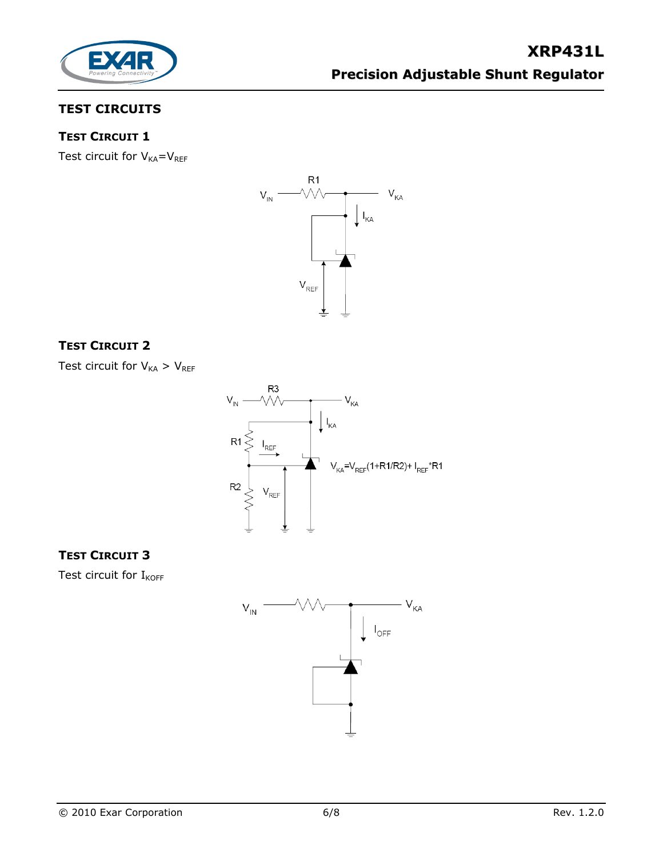

## **TEST CIRCUITS**

## **TEST CIRCUIT 1**

Test circuit for  $V_{KA}=V_{REF}$ 



## **TEST CIRCUIT 2**

Test circuit for  $V_{KA} > V_{REF}$ 



## **TEST CIRCUIT 3**

Test circuit for  $I_{KOFF}$ 

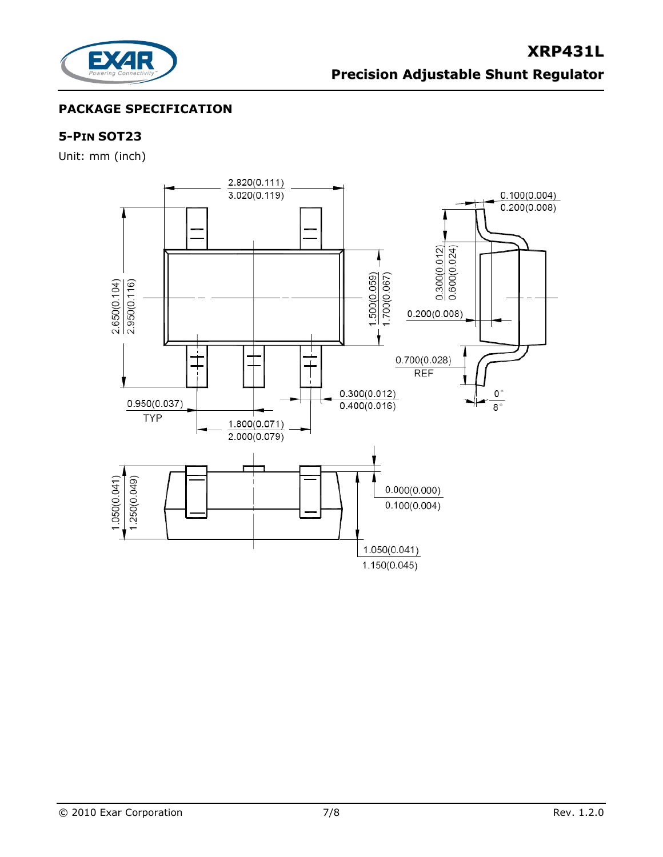

## **PACKAGE SPECIFICATION**

## **5-PIN SOT23**

Unit: mm (inch)